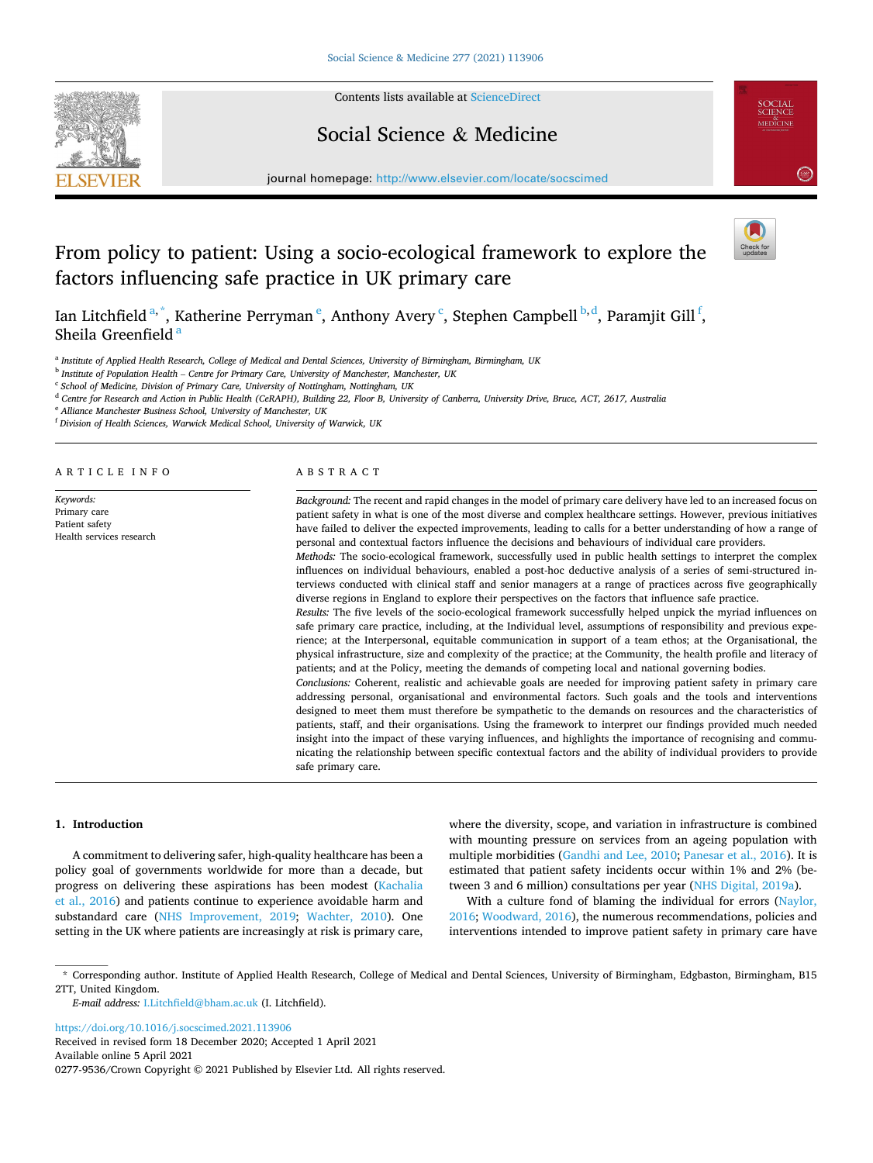

Contents lists available at [ScienceDirect](www.sciencedirect.com/science/journal/02779536)

## Social Science & Medicine



journal homepage: [http://www.elsevier.com/locate/socscimed](https://http://www.elsevier.com/locate/socscimed)

# From policy to patient: Using a socio-ecological framework to explore the factors influencing safe practice in UK primary care



Ian Litchfield <sup>a, \*</sup>, Katherine Perryman <sup>e</sup>, Anthony Avery <sup>c</sup>, Stephen Campbell <sup>b, d</sup>, Paramjit Gill <sup>f</sup>, Sheila Greenfield $\frac{3}{5}$ 

<sup>a</sup> *Institute of Applied Health Research, College of Medical and Dental Sciences, University of Birmingham, Birmingham, UK* 

<sup>b</sup> *Institute of Population Health* – *Centre for Primary Care, University of Manchester, Manchester, UK* 

<sup>c</sup> *School of Medicine, Division of Primary Care, University of Nottingham, Nottingham, UK* 

<sup>d</sup> *Centre for Research and Action in Public Health (CeRAPH), Building 22, Floor B, University of Canberra, University Drive, Bruce, ACT, 2617, Australia* 

<sup>e</sup> *Alliance Manchester Business School, University of Manchester, UK* 

<sup>f</sup> *Division of Health Sciences, Warwick Medical School, University of Warwick, UK* 

ARTICLE INFO

*Keywords:*  Primary care Patient safety Health services research

#### ABSTRACT

*Background:* The recent and rapid changes in the model of primary care delivery have led to an increased focus on patient safety in what is one of the most diverse and complex healthcare settings. However, previous initiatives have failed to deliver the expected improvements, leading to calls for a better understanding of how a range of personal and contextual factors influence the decisions and behaviours of individual care providers.

*Methods:* The socio-ecological framework, successfully used in public health settings to interpret the complex influences on individual behaviours, enabled a post-hoc deductive analysis of a series of semi-structured interviews conducted with clinical staff and senior managers at a range of practices across five geographically diverse regions in England to explore their perspectives on the factors that influence safe practice.

*Results:* The five levels of the socio-ecological framework successfully helped unpick the myriad influences on safe primary care practice, including, at the Individual level, assumptions of responsibility and previous experience; at the Interpersonal, equitable communication in support of a team ethos; at the Organisational, the physical infrastructure, size and complexity of the practice; at the Community, the health profile and literacy of patients; and at the Policy, meeting the demands of competing local and national governing bodies.

*Conclusions:* Coherent, realistic and achievable goals are needed for improving patient safety in primary care addressing personal, organisational and environmental factors. Such goals and the tools and interventions designed to meet them must therefore be sympathetic to the demands on resources and the characteristics of patients, staff, and their organisations. Using the framework to interpret our findings provided much needed insight into the impact of these varying influences, and highlights the importance of recognising and communicating the relationship between specific contextual factors and the ability of individual providers to provide safe primary care.

## **1. Introduction**

A commitment to delivering safer, high-quality healthcare has been a policy goal of governments worldwide for more than a decade, but progress on delivering these aspirations has been modest [\(Kachalia](#page-8-0)  [et al., 2016](#page-8-0)) and patients continue to experience avoidable harm and substandard care [\(NHS Improvement, 2019;](#page-8-0) [Wachter, 2010](#page-9-0)). One setting in the UK where patients are increasingly at risk is primary care,

where the diversity, scope, and variation in infrastructure is combined with mounting pressure on services from an ageing population with multiple morbidities [\(Gandhi and Lee, 2010](#page-8-0); [Panesar et al., 2016\)](#page-8-0). It is estimated that patient safety incidents occur within 1% and 2% (between 3 and 6 million) consultations per year ([NHS Digital, 2019a](#page-8-0)).

With a culture fond of blaming the individual for errors ([Naylor,](#page-8-0)  [2016;](#page-8-0) [Woodward, 2016](#page-9-0)), the numerous recommendations, policies and interventions intended to improve patient safety in primary care have

<https://doi.org/10.1016/j.socscimed.2021.113906>

Available online 5 April 2021 0277-9536/Crown Copyright © 2021 Published by Elsevier Ltd. All rights reserved. Received in revised form 18 December 2020; Accepted 1 April 2021

<sup>\*</sup> Corresponding author. Institute of Applied Health Research, College of Medical and Dental Sciences, University of Birmingham, Edgbaston, Birmingham, B15 2TT, United Kingdom.

*E-mail address:* [I.Litchfield@bham.ac.uk](mailto:I.Litchfield@bham.ac.uk) (I. Litchfield).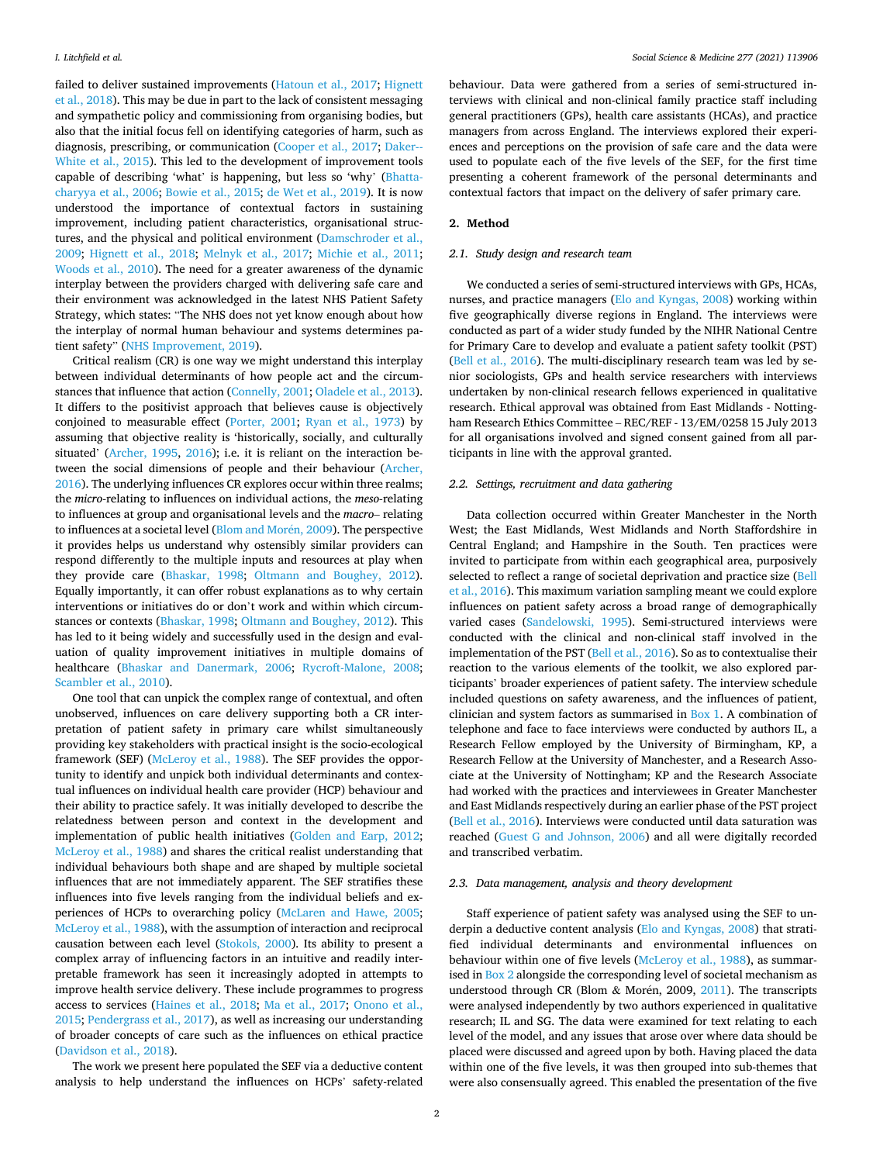failed to deliver sustained improvements [\(Hatoun et al., 2017](#page-8-0); [Hignett](#page-8-0)  [et al., 2018\)](#page-8-0). This may be due in part to the lack of consistent messaging and sympathetic policy and commissioning from organising bodies, but also that the initial focus fell on identifying categories of harm, such as diagnosis, prescribing, or communication ([Cooper et al., 2017;](#page-8-0) [Daker--](#page-8-0)[White et al., 2015\)](#page-8-0). This led to the development of improvement tools capable of describing 'what' is happening, but less so 'why' [\(Bhatta](#page-7-0)[charyya et al., 2006](#page-7-0); [Bowie et al., 2015; de Wet et al., 2019](#page-8-0)). It is now understood the importance of contextual factors in sustaining improvement, including patient characteristics, organisational structures, and the physical and political environment [\(Damschroder et al.,](#page-8-0)  [2009;](#page-8-0) [Hignett et al., 2018](#page-8-0); [Melnyk et al., 2017;](#page-8-0) [Michie et al., 2011](#page-8-0); [Woods et al., 2010](#page-9-0)). The need for a greater awareness of the dynamic interplay between the providers charged with delivering safe care and their environment was acknowledged in the latest NHS Patient Safety Strategy, which states: "The NHS does not yet know enough about how the interplay of normal human behaviour and systems determines patient safety" ([NHS Improvement, 2019\)](#page-8-0).

Critical realism (CR) is one way we might understand this interplay between individual determinants of how people act and the circumstances that influence that action ([Connelly, 2001](#page-8-0); [Oladele et al., 2013](#page-8-0)). It differs to the positivist approach that believes cause is objectively conjoined to measurable effect ([Porter, 2001;](#page-8-0) [Ryan et al., 1973](#page-8-0)) by assuming that objective reality is 'historically, socially, and culturally situated' [\(Archer, 1995](#page-7-0), [2016\)](#page-7-0); i.e. it is reliant on the interaction between the social dimensions of people and their behaviour ([Archer,](#page-7-0)  [2016\)](#page-7-0). The underlying influences CR explores occur within three realms; the *micro-*relating to influences on individual actions, the *meso-*relating to influences at group and organisational levels and the *macro*– relating to influences at a societal level ([Blom and Mor](#page-7-0)én, 2009). The perspective it provides helps us understand why ostensibly similar providers can respond differently to the multiple inputs and resources at play when they provide care ([Bhaskar, 1998](#page-7-0); [Oltmann and Boughey, 2012](#page-8-0)). Equally importantly, it can offer robust explanations as to why certain interventions or initiatives do or don't work and within which circumstances or contexts [\(Bhaskar, 1998](#page-7-0); [Oltmann and Boughey, 2012](#page-8-0)). This has led to it being widely and successfully used in the design and evaluation of quality improvement initiatives in multiple domains of healthcare ([Bhaskar and Danermark, 2006](#page-7-0); [Rycroft-Malone, 2008](#page-9-0); [Scambler et al., 2010\)](#page-9-0).

One tool that can unpick the complex range of contextual, and often unobserved, influences on care delivery supporting both a CR interpretation of patient safety in primary care whilst simultaneously providing key stakeholders with practical insight is the socio-ecological framework (SEF) ([McLeroy et al., 1988](#page-8-0)). The SEF provides the opportunity to identify and unpick both individual determinants and contextual influences on individual health care provider (HCP) behaviour and their ability to practice safely. It was initially developed to describe the relatedness between person and context in the development and implementation of public health initiatives ([Golden and Earp, 2012](#page-8-0); [McLeroy et al., 1988](#page-8-0)) and shares the critical realist understanding that individual behaviours both shape and are shaped by multiple societal influences that are not immediately apparent. The SEF stratifies these influences into five levels ranging from the individual beliefs and experiences of HCPs to overarching policy ([McLaren and Hawe, 2005](#page-8-0); [McLeroy et al., 1988](#page-8-0)), with the assumption of interaction and reciprocal causation between each level [\(Stokols, 2000\)](#page-9-0). Its ability to present a complex array of influencing factors in an intuitive and readily interpretable framework has seen it increasingly adopted in attempts to improve health service delivery. These include programmes to progress access to services [\(Haines et al., 2018](#page-8-0); [Ma et al., 2017](#page-8-0); [Onono et al.,](#page-8-0)  [2015; Pendergrass et al., 2017](#page-8-0)), as well as increasing our understanding of broader concepts of care such as the influences on ethical practice ([Davidson et al., 2018\)](#page-8-0).

The work we present here populated the SEF via a deductive content analysis to help understand the influences on HCPs' safety-related

behaviour. Data were gathered from a series of semi-structured interviews with clinical and non-clinical family practice staff including general practitioners (GPs), health care assistants (HCAs), and practice managers from across England. The interviews explored their experiences and perceptions on the provision of safe care and the data were used to populate each of the five levels of the SEF, for the first time presenting a coherent framework of the personal determinants and contextual factors that impact on the delivery of safer primary care.

#### **2. Method**

## *2.1. Study design and research team*

We conducted a series of semi-structured interviews with GPs, HCAs, nurses, and practice managers ([Elo and Kyngas, 2008](#page-8-0)) working within five geographically diverse regions in England. The interviews were conducted as part of a wider study funded by the NIHR National Centre for Primary Care to develop and evaluate a patient safety toolkit (PST) ([Bell et al., 2016](#page-7-0)). The multi-disciplinary research team was led by senior sociologists, GPs and health service researchers with interviews undertaken by non-clinical research fellows experienced in qualitative research. Ethical approval was obtained from East Midlands - Nottingham Research Ethics Committee – REC/REF - 13/EM/0258 15 July 2013 for all organisations involved and signed consent gained from all participants in line with the approval granted.

## *2.2. Settings, recruitment and data gathering*

Data collection occurred within Greater Manchester in the North West; the East Midlands, West Midlands and North Staffordshire in Central England; and Hampshire in the South. Ten practices were invited to participate from within each geographical area, purposively selected to reflect a range of societal deprivation and practice size [\(Bell](#page-7-0)  [et al., 2016\)](#page-7-0). This maximum variation sampling meant we could explore influences on patient safety across a broad range of demographically varied cases [\(Sandelowski, 1995](#page-9-0)). Semi-structured interviews were conducted with the clinical and non-clinical staff involved in the implementation of the PST ([Bell et al., 2016\)](#page-7-0). So as to contextualise their reaction to the various elements of the toolkit, we also explored participants' broader experiences of patient safety. The interview schedule included questions on safety awareness, and the influences of patient, clinician and system factors as summarised in Box 1. A combination of telephone and face to face interviews were conducted by authors IL, a Research Fellow employed by the University of Birmingham, KP, a Research Fellow at the University of Manchester, and a Research Associate at the University of Nottingham; KP and the Research Associate had worked with the practices and interviewees in Greater Manchester and East Midlands respectively during an earlier phase of the PST project ([Bell et al., 2016](#page-7-0)). Interviews were conducted until data saturation was reached [\(Guest G and Johnson, 2006](#page-8-0)) and all were digitally recorded and transcribed verbatim.

### *2.3. Data management, analysis and theory development*

Staff experience of patient safety was analysed using the SEF to underpin a deductive content analysis ([Elo and Kyngas, 2008\)](#page-8-0) that stratified individual determinants and environmental influences on behaviour within one of five levels ([McLeroy et al., 1988](#page-8-0)), as summarised in [Box 2](#page-2-0) alongside the corresponding level of societal mechanism as understood through CR (Blom & Morén, 2009, [2011](#page-7-0)). The transcripts were analysed independently by two authors experienced in qualitative research; IL and SG. The data were examined for text relating to each level of the model, and any issues that arose over where data should be placed were discussed and agreed upon by both. Having placed the data within one of the five levels, it was then grouped into sub-themes that were also consensually agreed. This enabled the presentation of the five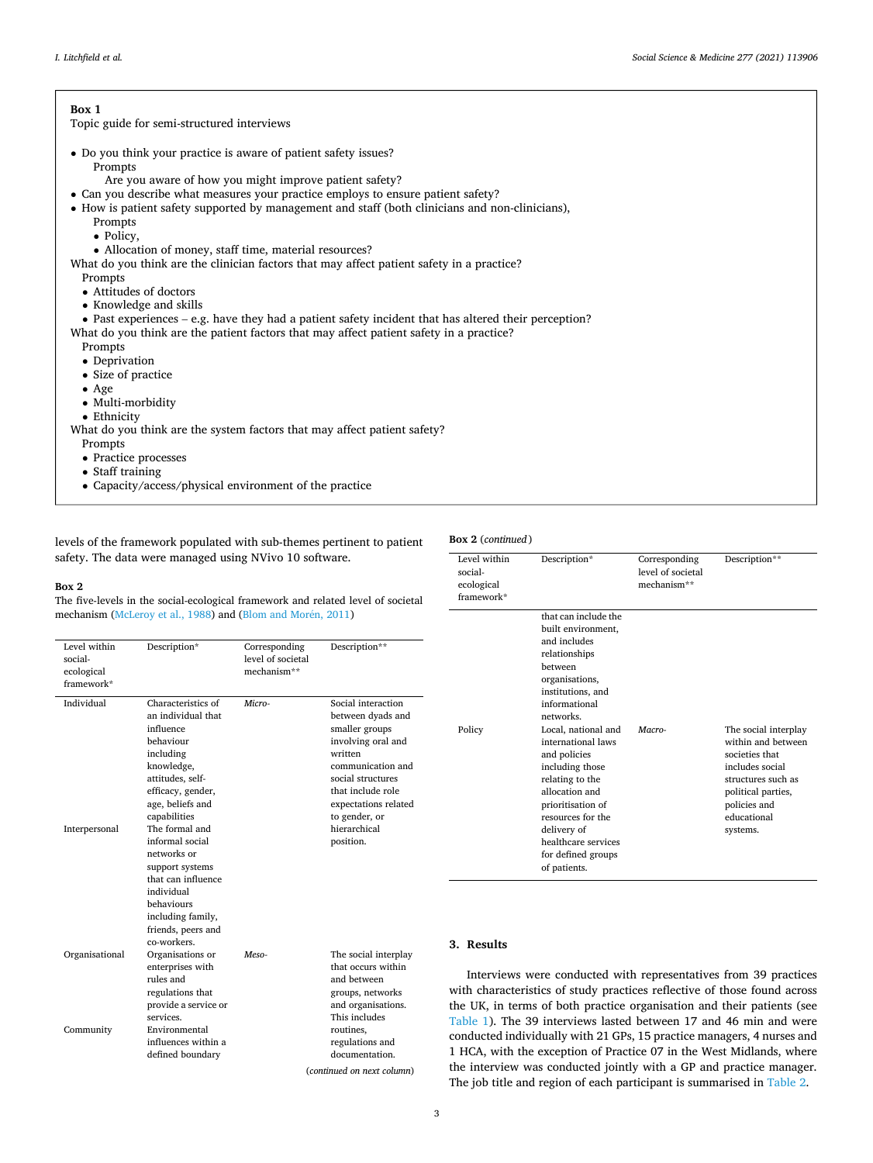#### <span id="page-2-0"></span>**Box 1**

Topic guide for semi-structured interviews

• Do you think your practice is aware of patient safety issues?

Prompts

- Are you aware of how you might improve patient safety?
- Can you describe what measures your practice employs to ensure patient safety?
- How is patient safety supported by management and staff (both clinicians and non-clinicians),
	- Prompts
	- Policy,
	- Allocation of money, staff time, material resources?

What do you think are the clinician factors that may affect patient safety in a practice? **Prompts** 

- Attitudes of doctors
- Knowledge and skills

• Past experiences – e.g. have they had a patient safety incident that has altered their perception? What do you think are the patient factors that may affect patient safety in a practice?

Prompts

- Deprivation
- Size of practice • Age
- Multi-morbidity
- 

• Ethnicity

What do you think are the system factors that may affect patient safety?

- Prompts
- Practice processes
- Staff training
- Capacity/access/physical environment of the practice

levels of the framework populated with sub-themes pertinent to patient safety. The data were managed using NVivo 10 software.

#### **Box 2**

The five-levels in the social-ecological framework and related level of societal mechanism [\(McLeroy et al., 1988](#page-8-0)) and ([Blom and Mor](#page-7-0)én, 2011)

| Level within<br>social-<br>ecological<br>framework* | Description*                                                                                                                                                                                                                   | Corresponding<br>level of societal<br>mechanism** | Description**                                                                                                                                                                                                                   |
|-----------------------------------------------------|--------------------------------------------------------------------------------------------------------------------------------------------------------------------------------------------------------------------------------|---------------------------------------------------|---------------------------------------------------------------------------------------------------------------------------------------------------------------------------------------------------------------------------------|
| Individual<br>Interpersonal                         | Characteristics of<br>an individual that<br>influence<br>behaviour<br>including<br>knowledge,<br>attitudes, self-<br>efficacy, gender,<br>age, beliefs and<br>capabilities<br>The formal and<br>informal social<br>networks or | Micro-                                            | Social interaction<br>between dyads and<br>smaller groups<br>involving oral and<br>written<br>communication and<br>social structures<br>that include role<br>expectations related<br>to gender, or<br>hierarchical<br>position. |
|                                                     | support systems<br>that can influence<br>individual<br>behaviours<br>including family,<br>friends, peers and<br>co-workers.                                                                                                    |                                                   |                                                                                                                                                                                                                                 |
| Organisational                                      | Organisations or<br>enterprises with<br>rules and<br>regulations that<br>provide a service or<br>services.                                                                                                                     | Meso-                                             | The social interplay<br>that occurs within<br>and between<br>groups, networks<br>and organisations.<br>This includes                                                                                                            |
| Community                                           | Environmental<br>influences within a<br>defined boundary                                                                                                                                                                       |                                                   | routines.<br>regulations and<br>documentation.<br>(continued on next column)                                                                                                                                                    |

## **Box 2** (*continued* )

| Level within<br>social-<br>ecological<br>framework* | Description*                                                                                                                                                                                                                                                                                                                                                                                           | Corresponding<br>level of societal<br>mechanism** | Description**                                                                                                                                                          |
|-----------------------------------------------------|--------------------------------------------------------------------------------------------------------------------------------------------------------------------------------------------------------------------------------------------------------------------------------------------------------------------------------------------------------------------------------------------------------|---------------------------------------------------|------------------------------------------------------------------------------------------------------------------------------------------------------------------------|
| Policy                                              | that can include the<br>built environment,<br>and includes<br>relationships<br>between<br>organisations,<br>institutions, and<br>informational<br>networks.<br>Local, national and<br>international laws<br>and policies<br>including those<br>relating to the<br>allocation and<br>prioritisation of<br>resources for the<br>delivery of<br>healthcare services<br>for defined groups<br>of patients. | Macro-                                            | The social interplay<br>within and between<br>societies that<br>includes social<br>structures such as<br>political parties,<br>policies and<br>educational<br>systems. |

#### **3. Results**

Interviews were conducted with representatives from 39 practices with characteristics of study practices reflective of those found across the UK, in terms of both practice organisation and their patients (see [Table 1\)](#page-3-0). The 39 interviews lasted between 17 and 46 min and were conducted individually with 21 GPs, 15 practice managers, 4 nurses and 1 HCA, with the exception of Practice 07 in the West Midlands, where the interview was conducted jointly with a GP and practice manager. The job title and region of each participant is summarised in [Table 2](#page-3-0).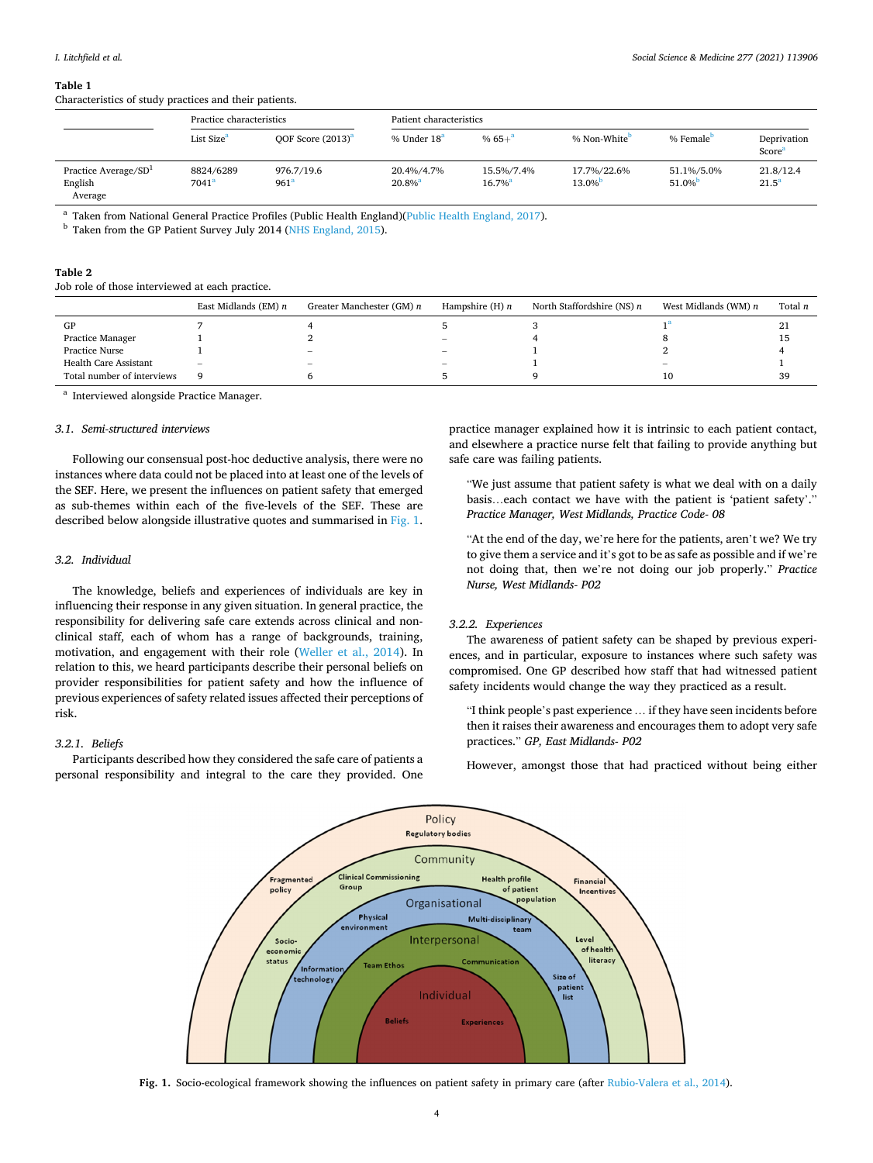#### <span id="page-3-0"></span>**Table 1**

Characteristics of study practices and their patients.

|                                                        | Practice characteristics |                                | Patient characteristics             |                                     |                          |                        |                                |  |
|--------------------------------------------------------|--------------------------|--------------------------------|-------------------------------------|-------------------------------------|--------------------------|------------------------|--------------------------------|--|
|                                                        | List Size <sup>a</sup>   | OOF Score $(2013)^a$           | % Under 18 <sup>a</sup>             | % $65 +$ <sup>3</sup>               | % Non-White <sup>b</sup> | % Female <sup>D</sup>  | Deprivation<br>Score           |  |
| Practice Average/SD <sup>1</sup><br>English<br>Average | 8824/6289<br>$7041^a$    | 976.7/19.6<br>961 <sup>a</sup> | 20.4%/4.7%<br>$20.8\%$ <sup>a</sup> | 15.5%/7.4%<br>$16.7\%$ <sup>a</sup> | 17.7%/22.6%<br>$13.0\%$  | 51.1%/5.0%<br>$51.0\%$ | 21.8/12.4<br>21.5 <sup>a</sup> |  |

<sup>a</sup> Taken from National General Practice Profiles (Public Health England)[\(Public Health England, 2017\)](#page-8-0). **b** Taken from the GP Patient Survey July 2014 [\(NHS England, 2015\)](#page-8-0).

## **Table 2**

Job role of those interviewed at each practice.

|                            | East Midlands (EM) $n$   | Greater Manchester (GM) n | Hampshire $(H)$ <i>n</i> | North Staffordshire (NS) $n$ | West Midlands (WM) $n$ | Total n |
|----------------------------|--------------------------|---------------------------|--------------------------|------------------------------|------------------------|---------|
| GP                         |                          |                           |                          |                              |                        | 21      |
| Practice Manager           |                          |                           | $\overline{\phantom{a}}$ |                              |                        | 15      |
| Practice Nurse             |                          | $\overline{\phantom{a}}$  | $\qquad \qquad$          |                              |                        |         |
| Health Care Assistant      | $\overline{\phantom{a}}$ |                           | $\overline{\phantom{a}}$ |                              |                        |         |
| Total number of interviews | 9                        |                           |                          |                              | 10                     | 39      |

<sup>a</sup> Interviewed alongside Practice Manager.

#### *3.1. Semi-structured interviews*

Following our consensual post-hoc deductive analysis, there were no instances where data could not be placed into at least one of the levels of the SEF. Here, we present the influences on patient safety that emerged as sub-themes within each of the five-levels of the SEF. These are described below alongside illustrative quotes and summarised in Fig. 1.

## *3.2. Individual*

The knowledge, beliefs and experiences of individuals are key in influencing their response in any given situation. In general practice, the responsibility for delivering safe care extends across clinical and nonclinical staff, each of whom has a range of backgrounds, training, motivation, and engagement with their role [\(Weller et al., 2014\)](#page-9-0). In relation to this, we heard participants describe their personal beliefs on provider responsibilities for patient safety and how the influence of previous experiences of safety related issues affected their perceptions of risk.

## *3.2.1. Beliefs*

Participants described how they considered the safe care of patients a personal responsibility and integral to the care they provided. One practice manager explained how it is intrinsic to each patient contact, and elsewhere a practice nurse felt that failing to provide anything but safe care was failing patients.

"We just assume that patient safety is what we deal with on a daily basis…each contact we have with the patient is 'patient safety'." *Practice Manager, West Midlands, Practice Code- 08* 

"At the end of the day, we're here for the patients, aren't we? We try to give them a service and it's got to be as safe as possible and if we're not doing that, then we're not doing our job properly." *Practice Nurse, West Midlands- P02* 

## *3.2.2. Experiences*

The awareness of patient safety can be shaped by previous experiences, and in particular, exposure to instances where such safety was compromised. One GP described how staff that had witnessed patient safety incidents would change the way they practiced as a result.

"I think people's past experience … if they have seen incidents before then it raises their awareness and encourages them to adopt very safe practices." *GP, East Midlands- P02* 

However, amongst those that had practiced without being either



**Fig. 1.** Socio-ecological framework showing the influences on patient safety in primary care (after [Rubio-Valera et al., 2014](#page-8-0)).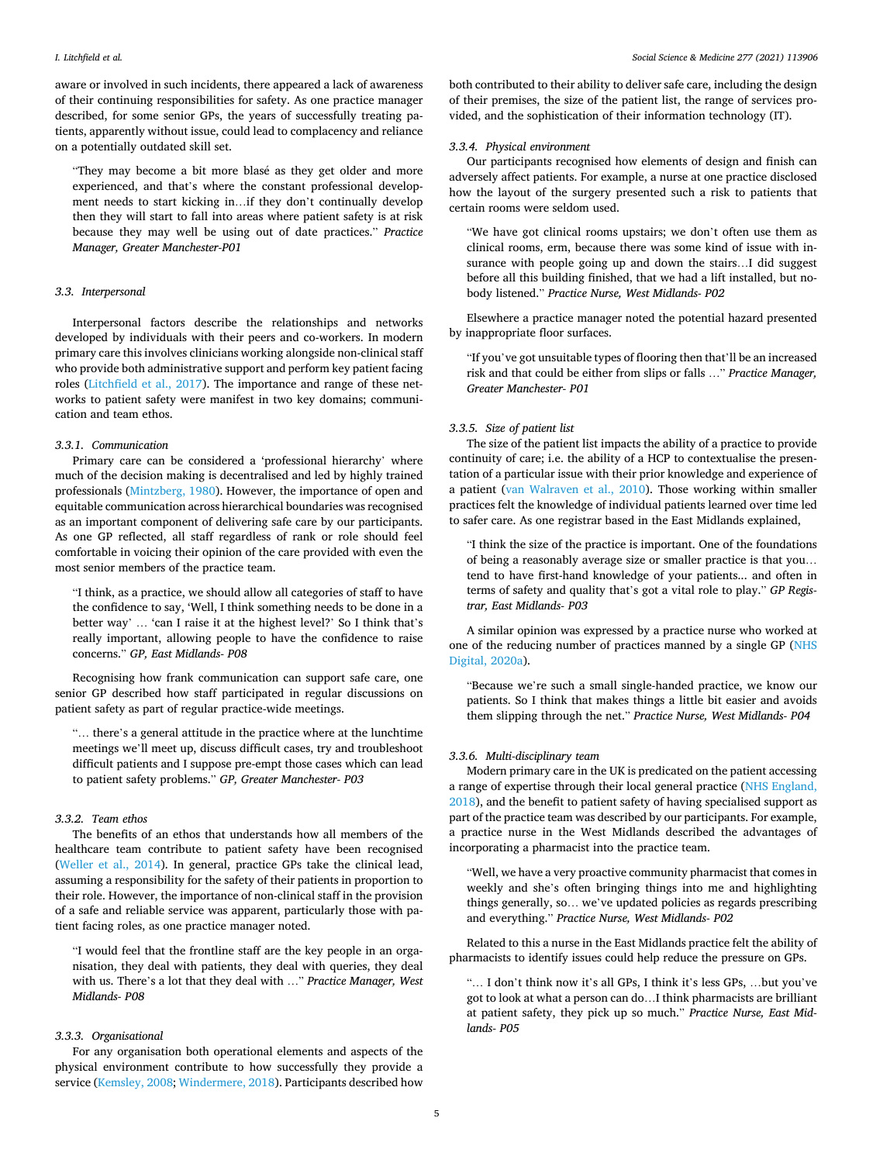aware or involved in such incidents, there appeared a lack of awareness of their continuing responsibilities for safety. As one practice manager described, for some senior GPs, the years of successfully treating patients, apparently without issue, could lead to complacency and reliance on a potentially outdated skill set.

"They may become a bit more blasé as they get older and more experienced, and that's where the constant professional development needs to start kicking in…if they don't continually develop then they will start to fall into areas where patient safety is at risk because they may well be using out of date practices." *Practice Manager, Greater Manchester-P01* 

## *3.3. Interpersonal*

Interpersonal factors describe the relationships and networks developed by individuals with their peers and co-workers. In modern primary care this involves clinicians working alongside non-clinical staff who provide both administrative support and perform key patient facing roles [\(Litchfield et al., 2017](#page-8-0)). The importance and range of these networks to patient safety were manifest in two key domains; communication and team ethos.

## *3.3.1. Communication*

Primary care can be considered a 'professional hierarchy' where much of the decision making is decentralised and led by highly trained professionals ([Mintzberg, 1980](#page-8-0)). However, the importance of open and equitable communication across hierarchical boundaries was recognised as an important component of delivering safe care by our participants. As one GP reflected, all staff regardless of rank or role should feel comfortable in voicing their opinion of the care provided with even the most senior members of the practice team.

"I think, as a practice, we should allow all categories of staff to have the confidence to say, 'Well, I think something needs to be done in a better way' … 'can I raise it at the highest level?' So I think that's really important, allowing people to have the confidence to raise concerns." *GP, East Midlands- P08* 

Recognising how frank communication can support safe care, one senior GP described how staff participated in regular discussions on patient safety as part of regular practice-wide meetings.

"… there's a general attitude in the practice where at the lunchtime meetings we'll meet up, discuss difficult cases, try and troubleshoot difficult patients and I suppose pre-empt those cases which can lead to patient safety problems." *GP, Greater Manchester- P03* 

#### *3.3.2. Team ethos*

The benefits of an ethos that understands how all members of the healthcare team contribute to patient safety have been recognised ([Weller et al., 2014\)](#page-9-0). In general, practice GPs take the clinical lead, assuming a responsibility for the safety of their patients in proportion to their role. However, the importance of non-clinical staff in the provision of a safe and reliable service was apparent, particularly those with patient facing roles, as one practice manager noted.

"I would feel that the frontline staff are the key people in an organisation, they deal with patients, they deal with queries, they deal with us. There's a lot that they deal with …" *Practice Manager, West Midlands- P08* 

## *3.3.3. Organisational*

For any organisation both operational elements and aspects of the physical environment contribute to how successfully they provide a service ([Kemsley, 2008](#page-8-0); [Windermere, 2018\)](#page-9-0). Participants described how

both contributed to their ability to deliver safe care, including the design of their premises, the size of the patient list, the range of services provided, and the sophistication of their information technology (IT).

### *3.3.4. Physical environment*

Our participants recognised how elements of design and finish can adversely affect patients. For example, a nurse at one practice disclosed how the layout of the surgery presented such a risk to patients that certain rooms were seldom used.

"We have got clinical rooms upstairs; we don't often use them as clinical rooms, erm, because there was some kind of issue with insurance with people going up and down the stairs…I did suggest before all this building finished, that we had a lift installed, but nobody listened." *Practice Nurse, West Midlands- P02* 

Elsewhere a practice manager noted the potential hazard presented by inappropriate floor surfaces.

"If you've got unsuitable types of flooring then that'll be an increased risk and that could be either from slips or falls …" *Practice Manager, Greater Manchester- P01* 

## *3.3.5. Size of patient list*

The size of the patient list impacts the ability of a practice to provide continuity of care; i.e. the ability of a HCP to contextualise the presentation of a particular issue with their prior knowledge and experience of a patient [\(van Walraven et al., 2010\)](#page-9-0). Those working within smaller practices felt the knowledge of individual patients learned over time led to safer care. As one registrar based in the East Midlands explained,

"I think the size of the practice is important. One of the foundations of being a reasonably average size or smaller practice is that you… tend to have first-hand knowledge of your patients... and often in terms of safety and quality that's got a vital role to play." *GP Registrar, East Midlands- P03* 

A similar opinion was expressed by a practice nurse who worked at one of the reducing number of practices manned by a single GP ([NHS](#page-8-0)  [Digital, 2020a\)](#page-8-0).

"Because we're such a small single-handed practice, we know our patients. So I think that makes things a little bit easier and avoids them slipping through the net." *Practice Nurse, West Midlands- P04* 

#### *3.3.6. Multi-disciplinary team*

Modern primary care in the UK is predicated on the patient accessing a range of expertise through their local general practice ([NHS England,](#page-8-0)  [2018\)](#page-8-0), and the benefit to patient safety of having specialised support as part of the practice team was described by our participants. For example, a practice nurse in the West Midlands described the advantages of incorporating a pharmacist into the practice team.

"Well, we have a very proactive community pharmacist that comes in weekly and she's often bringing things into me and highlighting things generally, so… we've updated policies as regards prescribing and everything." *Practice Nurse, West Midlands- P02* 

Related to this a nurse in the East Midlands practice felt the ability of pharmacists to identify issues could help reduce the pressure on GPs.

"… I don't think now it's all GPs, I think it's less GPs, …but you've got to look at what a person can do…I think pharmacists are brilliant at patient safety, they pick up so much." *Practice Nurse, East Midlands- P05*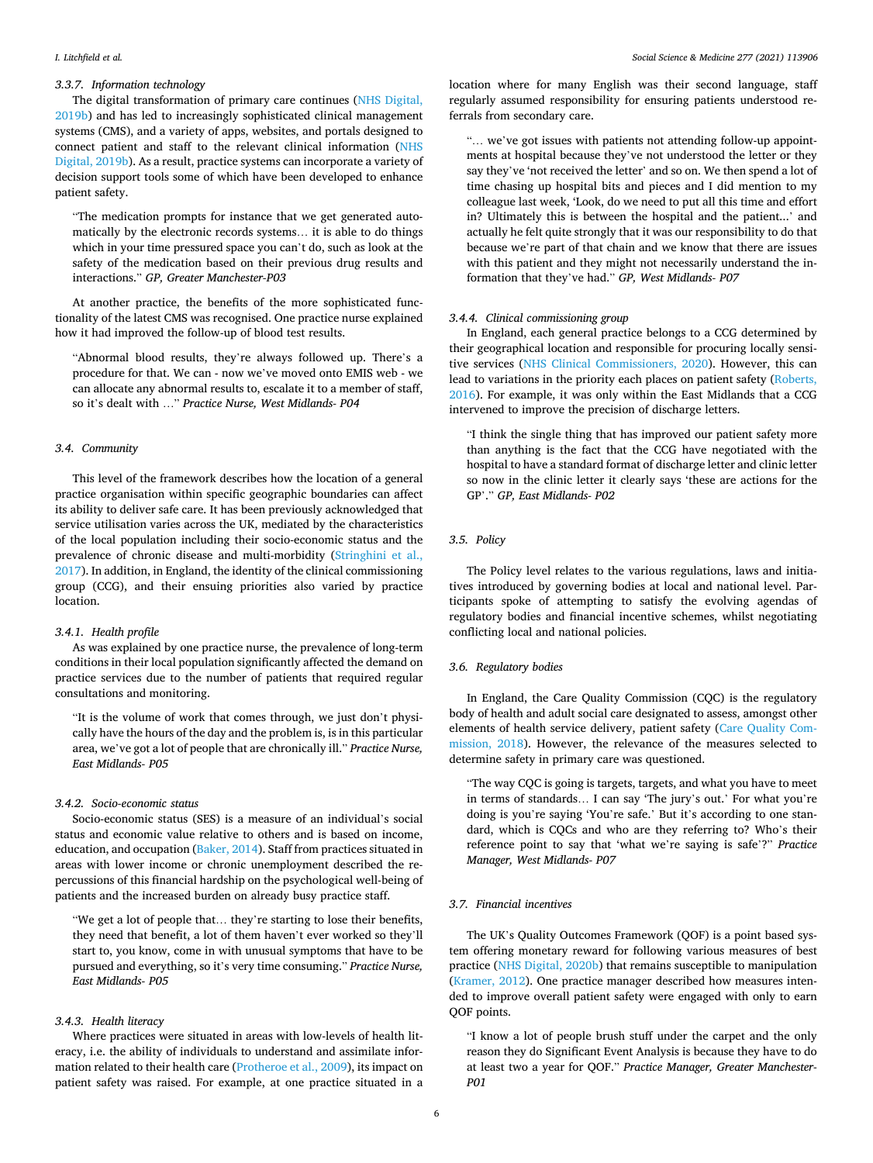## *3.3.7. Information technology*

The digital transformation of primary care continues [\(NHS Digital,](#page-8-0)  [2019b\)](#page-8-0) and has led to increasingly sophisticated clinical management systems (CMS), and a variety of apps, websites, and portals designed to connect patient and staff to the relevant clinical information ([NHS](#page-8-0)  [Digital, 2019b\)](#page-8-0). As a result, practice systems can incorporate a variety of decision support tools some of which have been developed to enhance patient safety.

"The medication prompts for instance that we get generated automatically by the electronic records systems… it is able to do things which in your time pressured space you can't do, such as look at the safety of the medication based on their previous drug results and interactions." *GP, Greater Manchester-P03* 

At another practice, the benefits of the more sophisticated functionality of the latest CMS was recognised. One practice nurse explained how it had improved the follow-up of blood test results.

"Abnormal blood results, they're always followed up. There's a procedure for that. We can - now we've moved onto EMIS web - we can allocate any abnormal results to, escalate it to a member of staff, so it's dealt with …" *Practice Nurse, West Midlands- P04* 

#### *3.4. Community*

This level of the framework describes how the location of a general practice organisation within specific geographic boundaries can affect its ability to deliver safe care. It has been previously acknowledged that service utilisation varies across the UK, mediated by the characteristics of the local population including their socio-economic status and the prevalence of chronic disease and multi-morbidity ([Stringhini et al.,](#page-9-0)  [2017\)](#page-9-0). In addition, in England, the identity of the clinical commissioning group (CCG), and their ensuing priorities also varied by practice location.

## *3.4.1. Health profile*

As was explained by one practice nurse, the prevalence of long-term conditions in their local population significantly affected the demand on practice services due to the number of patients that required regular consultations and monitoring.

"It is the volume of work that comes through, we just don't physically have the hours of the day and the problem is, is in this particular area, we've got a lot of people that are chronically ill." *Practice Nurse, East Midlands- P05* 

#### *3.4.2. Socio-economic status*

Socio-economic status (SES) is a measure of an individual's social status and economic value relative to others and is based on income, education, and occupation [\(Baker, 2014](#page-7-0)). Staff from practices situated in areas with lower income or chronic unemployment described the repercussions of this financial hardship on the psychological well-being of patients and the increased burden on already busy practice staff.

"We get a lot of people that… they're starting to lose their benefits, they need that benefit, a lot of them haven't ever worked so they'll start to, you know, come in with unusual symptoms that have to be pursued and everything, so it's very time consuming." *Practice Nurse, East Midlands- P05* 

## *3.4.3. Health literacy*

Where practices were situated in areas with low-levels of health literacy, i.e. the ability of individuals to understand and assimilate information related to their health care [\(Protheroe et al., 2009\)](#page-8-0), its impact on patient safety was raised. For example, at one practice situated in a

location where for many English was their second language, staff regularly assumed responsibility for ensuring patients understood referrals from secondary care.

"… we've got issues with patients not attending follow-up appointments at hospital because they've not understood the letter or they say they've 'not received the letter' and so on. We then spend a lot of time chasing up hospital bits and pieces and I did mention to my colleague last week, 'Look, do we need to put all this time and effort in? Ultimately this is between the hospital and the patient...' and actually he felt quite strongly that it was our responsibility to do that because we're part of that chain and we know that there are issues with this patient and they might not necessarily understand the information that they've had." *GP, West Midlands- P07* 

## *3.4.4. Clinical commissioning group*

In England, each general practice belongs to a CCG determined by their geographical location and responsible for procuring locally sensitive services [\(NHS Clinical Commissioners, 2020](#page-8-0)). However, this can lead to variations in the priority each places on patient safety ([Roberts,](#page-8-0)  [2016\)](#page-8-0). For example, it was only within the East Midlands that a CCG intervened to improve the precision of discharge letters.

"I think the single thing that has improved our patient safety more than anything is the fact that the CCG have negotiated with the hospital to have a standard format of discharge letter and clinic letter so now in the clinic letter it clearly says 'these are actions for the GP'." *GP, East Midlands- P02* 

## *3.5. Policy*

The Policy level relates to the various regulations, laws and initiatives introduced by governing bodies at local and national level. Participants spoke of attempting to satisfy the evolving agendas of regulatory bodies and financial incentive schemes, whilst negotiating conflicting local and national policies.

## *3.6. Regulatory bodies*

In England, the Care Quality Commission (CQC) is the regulatory body of health and adult social care designated to assess, amongst other elements of health service delivery, patient safety ([Care Quality Com](#page-8-0)[mission, 2018](#page-8-0)). However, the relevance of the measures selected to determine safety in primary care was questioned.

"The way CQC is going is targets, targets, and what you have to meet in terms of standards… I can say 'The jury's out.' For what you're doing is you're saying 'You're safe.' But it's according to one standard, which is CQCs and who are they referring to? Who's their reference point to say that 'what we're saying is safe'?" *Practice Manager, West Midlands- P07* 

## *3.7. Financial incentives*

The UK's Quality Outcomes Framework (QOF) is a point based system offering monetary reward for following various measures of best practice ([NHS Digital, 2020b\)](#page-8-0) that remains susceptible to manipulation ([Kramer, 2012\)](#page-8-0). One practice manager described how measures intended to improve overall patient safety were engaged with only to earn QOF points.

"I know a lot of people brush stuff under the carpet and the only reason they do Significant Event Analysis is because they have to do at least two a year for QOF." *Practice Manager, Greater Manchester-P01*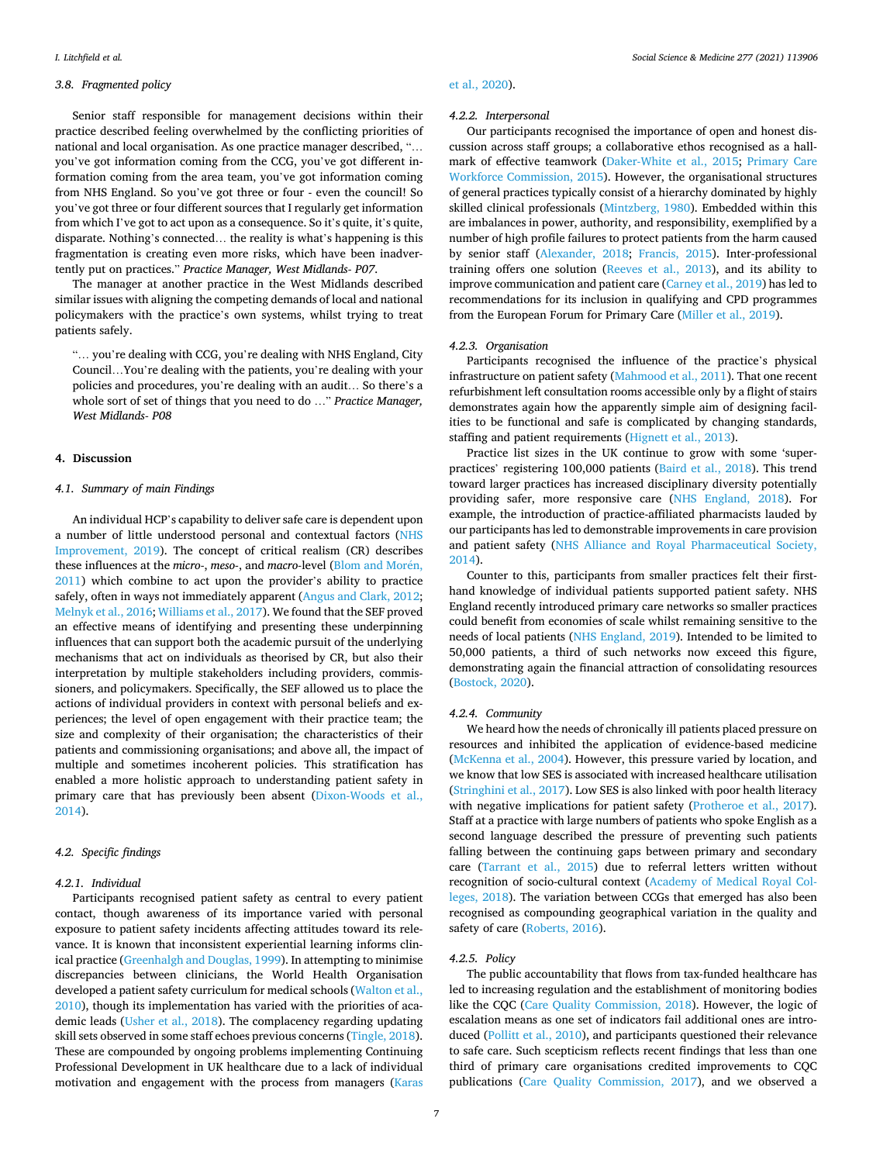## *3.8. Fragmented policy*

Senior staff responsible for management decisions within their practice described feeling overwhelmed by the conflicting priorities of national and local organisation. As one practice manager described, "… you've got information coming from the CCG, you've got different information coming from the area team, you've got information coming from NHS England. So you've got three or four - even the council! So you've got three or four different sources that I regularly get information from which I've got to act upon as a consequence. So it's quite, it's quite, disparate. Nothing's connected… the reality is what's happening is this fragmentation is creating even more risks, which have been inadvertently put on practices." *Practice Manager, West Midlands- P07*.

The manager at another practice in the West Midlands described similar issues with aligning the competing demands of local and national policymakers with the practice's own systems, whilst trying to treat patients safely.

"… you're dealing with CCG, you're dealing with NHS England, City Council…You're dealing with the patients, you're dealing with your policies and procedures, you're dealing with an audit… So there's a whole sort of set of things that you need to do …" *Practice Manager, West Midlands- P08* 

### **4. Discussion**

## *4.1. Summary of main Findings*

An individual HCP's capability to deliver safe care is dependent upon a number of little understood personal and contextual factors ([NHS](#page-8-0)  [Improvement, 2019](#page-8-0)). The concept of critical realism (CR) describes these influences at the *micro-*, *meso-*, and *macro-level* ([Blom and Mor](#page-7-0)én, [2011\)](#page-7-0) which combine to act upon the provider's ability to practice safely, often in ways not immediately apparent ([Angus and Clark, 2012](#page-7-0); [Melnyk et al., 2016](#page-8-0); [Williams et al., 2017](#page-9-0)). We found that the SEF proved an effective means of identifying and presenting these underpinning influences that can support both the academic pursuit of the underlying mechanisms that act on individuals as theorised by CR, but also their interpretation by multiple stakeholders including providers, commissioners, and policymakers. Specifically, the SEF allowed us to place the actions of individual providers in context with personal beliefs and experiences; the level of open engagement with their practice team; the size and complexity of their organisation; the characteristics of their patients and commissioning organisations; and above all, the impact of multiple and sometimes incoherent policies. This stratification has enabled a more holistic approach to understanding patient safety in primary care that has previously been absent [\(Dixon-Woods et al.,](#page-8-0)  [2014\)](#page-8-0).

## *4.2. Specific findings*

#### *4.2.1. Individual*

Participants recognised patient safety as central to every patient contact, though awareness of its importance varied with personal exposure to patient safety incidents affecting attitudes toward its relevance. It is known that inconsistent experiential learning informs clinical practice ([Greenhalgh and Douglas, 1999\)](#page-8-0). In attempting to minimise discrepancies between clinicians, the World Health Organisation developed a patient safety curriculum for medical schools [\(Walton et al.,](#page-9-0)  [2010\)](#page-9-0), though its implementation has varied with the priorities of academic leads [\(Usher et al., 2018\)](#page-9-0). The complacency regarding updating skill sets observed in some staff echoes previous concerns [\(Tingle, 2018](#page-9-0)). These are compounded by ongoing problems implementing Continuing Professional Development in UK healthcare due to a lack of individual motivation and engagement with the process from managers [\(Karas](#page-8-0) 

#### [et al., 2020\)](#page-8-0).

### *4.2.2. Interpersonal*

Our participants recognised the importance of open and honest discussion across staff groups; a collaborative ethos recognised as a hallmark of effective teamwork ([Daker-White et al., 2015](#page-8-0); [Primary Care](#page-8-0)  [Workforce Commission, 2015\)](#page-8-0). However, the organisational structures of general practices typically consist of a hierarchy dominated by highly skilled clinical professionals [\(Mintzberg, 1980](#page-8-0)). Embedded within this are imbalances in power, authority, and responsibility, exemplified by a number of high profile failures to protect patients from the harm caused by senior staff ([Alexander, 2018](#page-7-0); [Francis, 2015\)](#page-8-0). Inter-professional training offers one solution [\(Reeves et al., 2013\)](#page-8-0), and its ability to improve communication and patient care ([Carney et al., 2019](#page-8-0)) has led to recommendations for its inclusion in qualifying and CPD programmes from the European Forum for Primary Care [\(Miller et al., 2019](#page-8-0)).

## *4.2.3. Organisation*

Participants recognised the influence of the practice's physical infrastructure on patient safety ([Mahmood et al., 2011](#page-8-0)). That one recent refurbishment left consultation rooms accessible only by a flight of stairs demonstrates again how the apparently simple aim of designing facilities to be functional and safe is complicated by changing standards, staffing and patient requirements ([Hignett et al., 2013\)](#page-8-0).

Practice list sizes in the UK continue to grow with some 'superpractices' registering 100,000 patients ([Baird et al., 2018\)](#page-7-0). This trend toward larger practices has increased disciplinary diversity potentially providing safer, more responsive care ([NHS England, 2018](#page-8-0)). For example, the introduction of practice-affiliated pharmacists lauded by our participants has led to demonstrable improvements in care provision and patient safety [\(NHS Alliance and Royal Pharmaceutical Society,](#page-8-0)  [2014\)](#page-8-0).

Counter to this, participants from smaller practices felt their firsthand knowledge of individual patients supported patient safety. NHS England recently introduced primary care networks so smaller practices could benefit from economies of scale whilst remaining sensitive to the needs of local patients [\(NHS England, 2019](#page-8-0)). Intended to be limited to 50,000 patients, a third of such networks now exceed this figure, demonstrating again the financial attraction of consolidating resources ([Bostock, 2020](#page-8-0)).

#### *4.2.4. Community*

We heard how the needs of chronically ill patients placed pressure on resources and inhibited the application of evidence-based medicine ([McKenna et al., 2004\)](#page-8-0). However, this pressure varied by location, and we know that low SES is associated with increased healthcare utilisation ([Stringhini et al., 2017\)](#page-9-0). Low SES is also linked with poor health literacy with negative implications for patient safety [\(Protheroe et al., 2017](#page-8-0)). Staff at a practice with large numbers of patients who spoke English as a second language described the pressure of preventing such patients falling between the continuing gaps between primary and secondary care [\(Tarrant et al., 2015](#page-9-0)) due to referral letters written without recognition of socio-cultural context [\(Academy of Medical Royal Col](#page-7-0)[leges, 2018](#page-7-0)). The variation between CCGs that emerged has also been recognised as compounding geographical variation in the quality and safety of care [\(Roberts, 2016\)](#page-8-0).

#### *4.2.5. Policy*

The public accountability that flows from tax-funded healthcare has led to increasing regulation and the establishment of monitoring bodies like the CQC [\(Care Quality Commission, 2018](#page-8-0)). However, the logic of escalation means as one set of indicators fail additional ones are introduced [\(Pollitt et al., 2010](#page-8-0)), and participants questioned their relevance to safe care. Such scepticism reflects recent findings that less than one third of primary care organisations credited improvements to CQC publications [\(Care Quality Commission, 2017\)](#page-8-0), and we observed a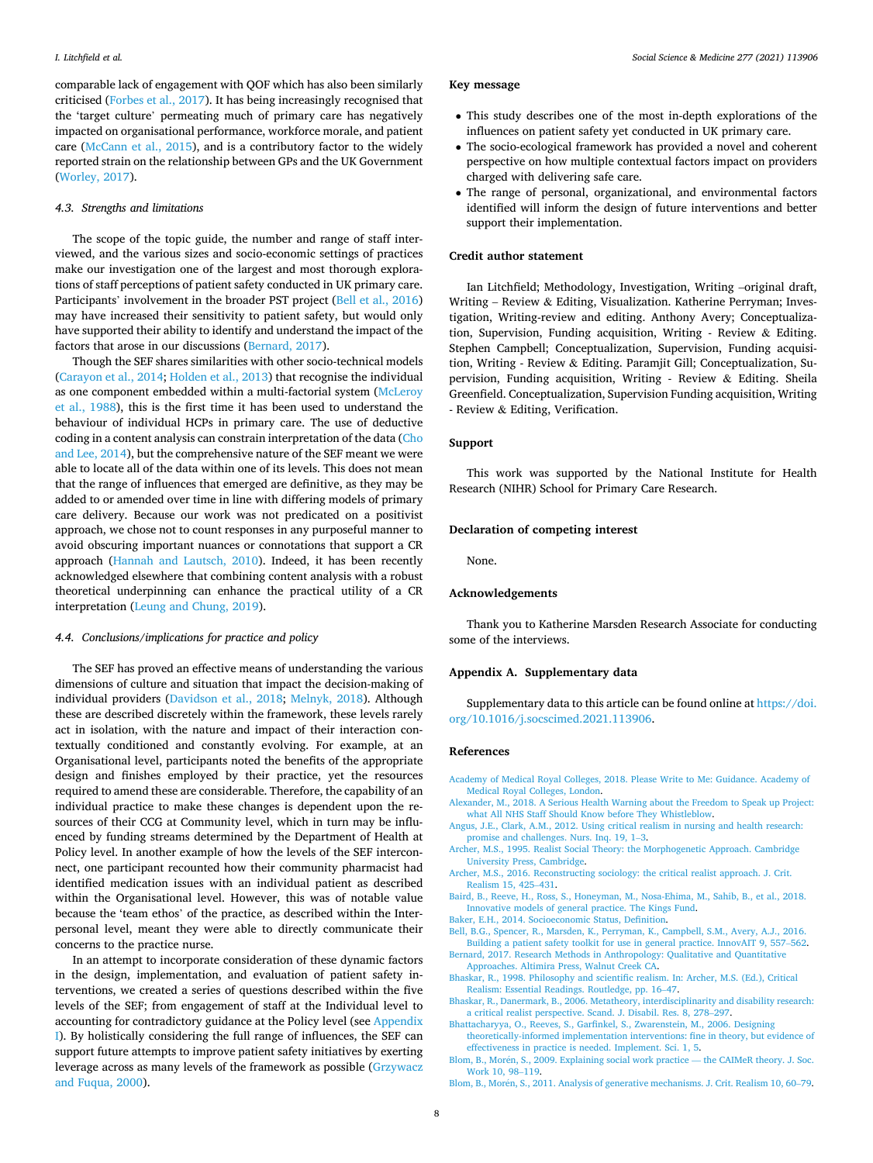<span id="page-7-0"></span>comparable lack of engagement with QOF which has also been similarly criticised ([Forbes et al., 2017\)](#page-8-0). It has being increasingly recognised that the 'target culture' permeating much of primary care has negatively impacted on organisational performance, workforce morale, and patient care [\(McCann et al., 2015](#page-8-0)), and is a contributory factor to the widely reported strain on the relationship between GPs and the UK Government ([Worley, 2017\)](#page-9-0).

#### *4.3. Strengths and limitations*

The scope of the topic guide, the number and range of staff interviewed, and the various sizes and socio-economic settings of practices make our investigation one of the largest and most thorough explorations of staff perceptions of patient safety conducted in UK primary care. Participants' involvement in the broader PST project (Bell et al., 2016) may have increased their sensitivity to patient safety, but would only have supported their ability to identify and understand the impact of the factors that arose in our discussions (Bernard, 2017).

Though the SEF shares similarities with other socio-technical models ([Carayon et al., 2014; Holden et al., 2013\)](#page-8-0) that recognise the individual as one component embedded within a multi-factorial system [\(McLeroy](#page-8-0)  [et al., 1988](#page-8-0)), this is the first time it has been used to understand the behaviour of individual HCPs in primary care. The use of deductive coding in a content analysis can constrain interpretation of the data ([Cho](#page-8-0)  [and Lee, 2014](#page-8-0)), but the comprehensive nature of the SEF meant we were able to locate all of the data within one of its levels. This does not mean that the range of influences that emerged are definitive, as they may be added to or amended over time in line with differing models of primary care delivery. Because our work was not predicated on a positivist approach, we chose not to count responses in any purposeful manner to avoid obscuring important nuances or connotations that support a CR approach [\(Hannah and Lautsch, 2010](#page-8-0)). Indeed, it has been recently acknowledged elsewhere that combining content analysis with a robust theoretical underpinning can enhance the practical utility of a CR interpretation ([Leung and Chung, 2019](#page-8-0)).

#### *4.4. Conclusions/implications for practice and policy*

The SEF has proved an effective means of understanding the various dimensions of culture and situation that impact the decision-making of individual providers ([Davidson et al., 2018](#page-8-0); [Melnyk, 2018\)](#page-8-0). Although these are described discretely within the framework, these levels rarely act in isolation, with the nature and impact of their interaction contextually conditioned and constantly evolving. For example, at an Organisational level, participants noted the benefits of the appropriate design and finishes employed by their practice, yet the resources required to amend these are considerable. Therefore, the capability of an individual practice to make these changes is dependent upon the resources of their CCG at Community level, which in turn may be influenced by funding streams determined by the Department of Health at Policy level. In another example of how the levels of the SEF interconnect, one participant recounted how their community pharmacist had identified medication issues with an individual patient as described within the Organisational level. However, this was of notable value because the 'team ethos' of the practice, as described within the Interpersonal level, meant they were able to directly communicate their concerns to the practice nurse.

In an attempt to incorporate consideration of these dynamic factors in the design, implementation, and evaluation of patient safety interventions, we created a series of questions described within the five levels of the SEF; from engagement of staff at the Individual level to accounting for contradictory guidance at the Policy level (see Appendix I). By holistically considering the full range of influences, the SEF can support future attempts to improve patient safety initiatives by exerting leverage across as many levels of the framework as possible [\(Grzywacz](#page-8-0)  [and Fuqua, 2000](#page-8-0)).

#### **Key message**

- This study describes one of the most in-depth explorations of the influences on patient safety yet conducted in UK primary care.
- The socio-ecological framework has provided a novel and coherent perspective on how multiple contextual factors impact on providers charged with delivering safe care.
- The range of personal, organizational, and environmental factors identified will inform the design of future interventions and better support their implementation.

## **Credit author statement**

Ian Litchfield; Methodology, Investigation, Writing –original draft, Writing – Review & Editing, Visualization. Katherine Perryman; Investigation, Writing-review and editing. Anthony Avery; Conceptualization, Supervision, Funding acquisition, Writing - Review & Editing. Stephen Campbell; Conceptualization, Supervision, Funding acquisition, Writing - Review & Editing. Paramjit Gill; Conceptualization, Supervision, Funding acquisition, Writing - Review & Editing. Sheila Greenfield. Conceptualization, Supervision Funding acquisition, Writing - Review & Editing, Verification.

## **Support**

This work was supported by the National Institute for Health Research (NIHR) School for Primary Care Research.

#### **Declaration of competing interest**

None.

## **Acknowledgements**

Thank you to Katherine Marsden Research Associate for conducting some of the interviews.

#### **Appendix A. Supplementary data**

Supplementary data to this article can be found online at [https://doi.](https://doi.org/10.1016/j.socscimed.2021.113906)  [org/10.1016/j.socscimed.2021.113906.](https://doi.org/10.1016/j.socscimed.2021.113906)

#### **References**

- [Academy of Medical Royal Colleges, 2018. Please Write to Me: Guidance. Academy of](http://refhub.elsevier.com/S0277-9536(21)00238-0/sref1)  [Medical Royal Colleges, London.](http://refhub.elsevier.com/S0277-9536(21)00238-0/sref1)
- [Alexander, M., 2018. A Serious Health Warning about the Freedom to Speak up Project:](http://refhub.elsevier.com/S0277-9536(21)00238-0/sref2)  [what All NHS Staff Should Know before They Whistleblow.](http://refhub.elsevier.com/S0277-9536(21)00238-0/sref2)
- [Angus, J.E., Clark, A.M., 2012. Using critical realism in nursing and health research:](http://refhub.elsevier.com/S0277-9536(21)00238-0/sref3) [promise and challenges. Nurs. Inq. 19, 1](http://refhub.elsevier.com/S0277-9536(21)00238-0/sref3)–3.
- [Archer, M.S., 1995. Realist Social Theory: the Morphogenetic Approach. Cambridge](http://refhub.elsevier.com/S0277-9536(21)00238-0/sref4)  [University Press, Cambridge.](http://refhub.elsevier.com/S0277-9536(21)00238-0/sref4)
- [Archer, M.S., 2016. Reconstructing sociology: the critical realist approach. J. Crit.](http://refhub.elsevier.com/S0277-9536(21)00238-0/sref5)  [Realism 15, 425](http://refhub.elsevier.com/S0277-9536(21)00238-0/sref5)–431.
- [Baird, B., Reeve, H., Ross, S., Honeyman, M., Nosa-Ehima, M., Sahib, B., et al., 2018.](http://refhub.elsevier.com/S0277-9536(21)00238-0/sref6) [Innovative models of general practice. The Kings Fund.](http://refhub.elsevier.com/S0277-9536(21)00238-0/sref6)

[Baker, E.H., 2014. Socioeconomic Status, Definition](http://refhub.elsevier.com/S0277-9536(21)00238-0/sref7).

- [Bell, B.G., Spencer, R., Marsden, K., Perryman, K., Campbell, S.M., Avery, A.J., 2016.](http://refhub.elsevier.com/S0277-9536(21)00238-0/sref8)  [Building a patient safety toolkit for use in general practice. InnovAIT 9, 557](http://refhub.elsevier.com/S0277-9536(21)00238-0/sref8)–562.
- [Bernard, 2017. Research Methods in Anthropology: Qualitative and Quantitative](http://refhub.elsevier.com/S0277-9536(21)00238-0/sref9)  [Approaches. Altimira Press, Walnut Creek CA](http://refhub.elsevier.com/S0277-9536(21)00238-0/sref9).
- [Bhaskar, R., 1998. Philosophy and scientific realism. In: Archer, M.S. \(Ed.\), Critical](http://refhub.elsevier.com/S0277-9536(21)00238-0/sref10)  [Realism: Essential Readings. Routledge, pp. 16](http://refhub.elsevier.com/S0277-9536(21)00238-0/sref10)–47.
- [Bhaskar, R., Danermark, B., 2006. Metatheory, interdisciplinarity and disability research:](http://refhub.elsevier.com/S0277-9536(21)00238-0/sref11)  [a critical realist perspective. Scand. J. Disabil. Res. 8, 278](http://refhub.elsevier.com/S0277-9536(21)00238-0/sref11)–297.
- [Bhattacharyya, O., Reeves, S., Garfinkel, S., Zwarenstein, M., 2006. Designing](http://refhub.elsevier.com/S0277-9536(21)00238-0/sref12)  [theoretically-informed implementation interventions: fine in theory, but evidence of](http://refhub.elsevier.com/S0277-9536(21)00238-0/sref12)  [effectiveness in practice is needed. Implement. Sci. 1, 5.](http://refhub.elsevier.com/S0277-9536(21)00238-0/sref12)

Blom, B., Morén, S., 2009. Explaining social work practice — the CAIMeR theory. J. Soc. [Work 10, 98](http://refhub.elsevier.com/S0277-9536(21)00238-0/sref13)–119.

Blom, B., Morén, S., 2011. Analysis of generative mechanisms. J. Crit. Realism 10, 60–79.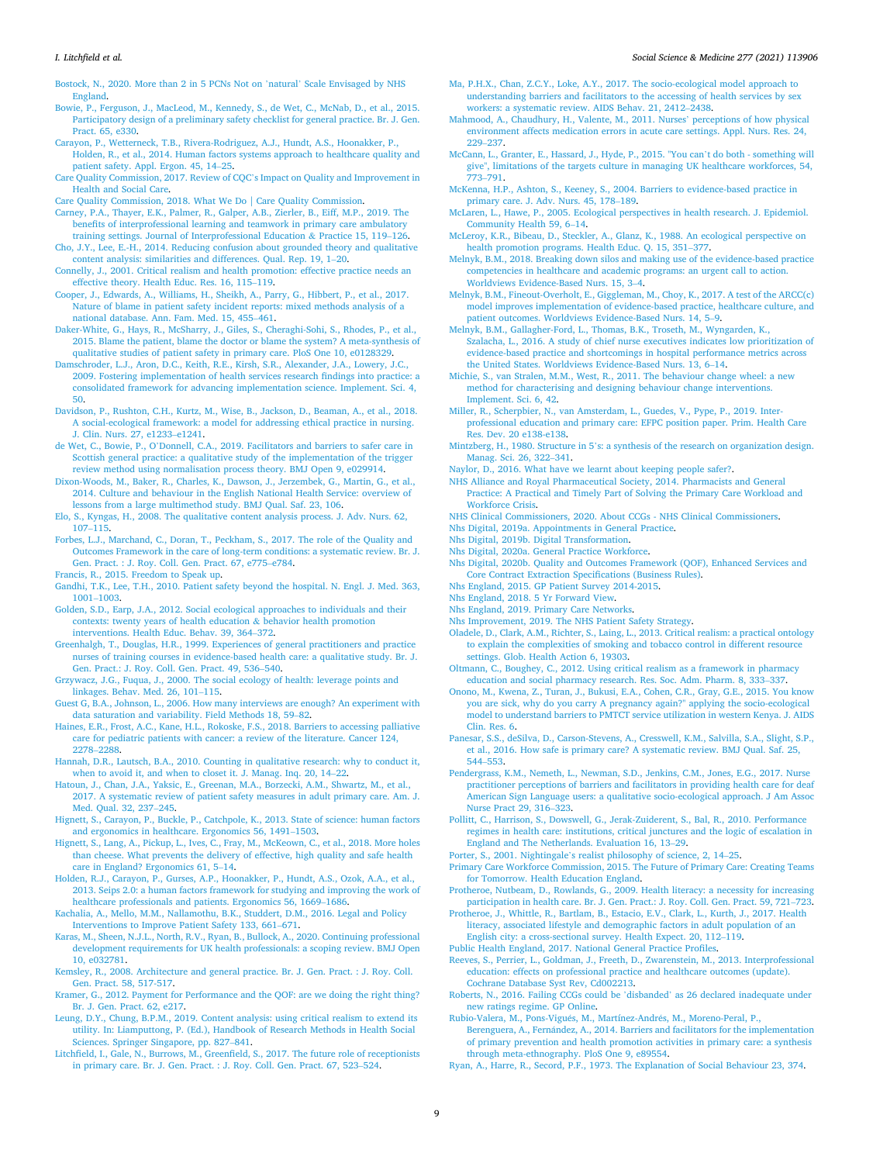<span id="page-8-0"></span>[Bostock, N., 2020. More than 2 in 5 PCNs Not on](http://refhub.elsevier.com/S0277-9536(21)00238-0/sref15) 'natural' Scale Envisaged by NHS [England.](http://refhub.elsevier.com/S0277-9536(21)00238-0/sref15)

[Bowie, P., Ferguson, J., MacLeod, M., Kennedy, S., de Wet, C., McNab, D., et al., 2015.](http://refhub.elsevier.com/S0277-9536(21)00238-0/sref16)  [Participatory design of a preliminary safety checklist for general practice. Br. J. Gen.](http://refhub.elsevier.com/S0277-9536(21)00238-0/sref16)  [Pract. 65, e330](http://refhub.elsevier.com/S0277-9536(21)00238-0/sref16).

- [Carayon, P., Wetterneck, T.B., Rivera-Rodriguez, A.J., Hundt, A.S., Hoonakker, P.,](http://refhub.elsevier.com/S0277-9536(21)00238-0/sref17) [Holden, R., et al., 2014. Human factors systems approach to healthcare quality and](http://refhub.elsevier.com/S0277-9536(21)00238-0/sref17)  [patient safety. Appl. Ergon. 45, 14](http://refhub.elsevier.com/S0277-9536(21)00238-0/sref17)–25.
- [Care Quality Commission, 2017. Review of CQC](http://refhub.elsevier.com/S0277-9536(21)00238-0/sref18)'s Impact on Quality and Improvement in [Health and Social Care.](http://refhub.elsevier.com/S0277-9536(21)00238-0/sref18)
- [Care Quality Commission, 2018. What We Do | Care Quality Commission](http://refhub.elsevier.com/S0277-9536(21)00238-0/sref19).

[Carney, P.A., Thayer, E.K., Palmer, R., Galper, A.B., Zierler, B., Eiff, M.P., 2019. The](http://refhub.elsevier.com/S0277-9536(21)00238-0/sref20) [benefits of interprofessional learning and teamwork in primary care ambulatory](http://refhub.elsevier.com/S0277-9536(21)00238-0/sref20) [training settings. Journal of Interprofessional Education](http://refhub.elsevier.com/S0277-9536(21)00238-0/sref20) & Practice 15, 119–126.

- [Cho, J.Y., Lee, E.-H., 2014. Reducing confusion about grounded theory and qualitative](http://refhub.elsevier.com/S0277-9536(21)00238-0/sref21) [content analysis: similarities and differences. Qual. Rep. 19, 1](http://refhub.elsevier.com/S0277-9536(21)00238-0/sref21)–20.
- [Connelly, J., 2001. Critical realism and health promotion: effective practice needs an](http://refhub.elsevier.com/S0277-9536(21)00238-0/sref22)  [effective theory. Health Educ. Res. 16, 115](http://refhub.elsevier.com/S0277-9536(21)00238-0/sref22)–119.
- [Cooper, J., Edwards, A., Williams, H., Sheikh, A., Parry, G., Hibbert, P., et al., 2017.](http://refhub.elsevier.com/S0277-9536(21)00238-0/sref23) [Nature of blame in patient safety incident reports: mixed methods analysis of a](http://refhub.elsevier.com/S0277-9536(21)00238-0/sref23) [national database. Ann. Fam. Med. 15, 455](http://refhub.elsevier.com/S0277-9536(21)00238-0/sref23)–461.

[Daker-White, G., Hays, R., McSharry, J., Giles, S., Cheraghi-Sohi, S., Rhodes, P., et al.,](http://refhub.elsevier.com/S0277-9536(21)00238-0/sref24) [2015. Blame the patient, blame the doctor or blame the system? A meta-synthesis of](http://refhub.elsevier.com/S0277-9536(21)00238-0/sref24)  [qualitative studies of patient safety in primary care. PloS One 10, e0128329](http://refhub.elsevier.com/S0277-9536(21)00238-0/sref24).

[Damschroder, L.J., Aron, D.C., Keith, R.E., Kirsh, S.R., Alexander, J.A., Lowery, J.C.,](http://refhub.elsevier.com/S0277-9536(21)00238-0/sref25)  [2009. Fostering implementation of health services research findings into practice: a](http://refhub.elsevier.com/S0277-9536(21)00238-0/sref25)  [consolidated framework for advancing implementation science. Implement. Sci. 4,](http://refhub.elsevier.com/S0277-9536(21)00238-0/sref25) [50.](http://refhub.elsevier.com/S0277-9536(21)00238-0/sref25)

- [Davidson, P., Rushton, C.H., Kurtz, M., Wise, B., Jackson, D., Beaman, A., et al., 2018.](http://refhub.elsevier.com/S0277-9536(21)00238-0/sref26) [A social-ecological framework: a model for addressing ethical practice in nursing.](http://refhub.elsevier.com/S0277-9536(21)00238-0/sref26)  [J. Clin. Nurs. 27, e1233](http://refhub.elsevier.com/S0277-9536(21)00238-0/sref26)–e1241.
- de Wet, C., Bowie, P., O'[Donnell, C.A., 2019. Facilitators and barriers to safer care in](http://refhub.elsevier.com/S0277-9536(21)00238-0/sref27)  [Scottish general practice: a qualitative study of the implementation of the trigger](http://refhub.elsevier.com/S0277-9536(21)00238-0/sref27)  [review method using normalisation process theory. BMJ Open 9, e029914.](http://refhub.elsevier.com/S0277-9536(21)00238-0/sref27)

[Dixon-Woods, M., Baker, R., Charles, K., Dawson, J., Jerzembek, G., Martin, G., et al.,](http://refhub.elsevier.com/S0277-9536(21)00238-0/sref28)  [2014. Culture and behaviour in the English National Health Service: overview of](http://refhub.elsevier.com/S0277-9536(21)00238-0/sref28)  [lessons from a large multimethod study. BMJ Qual. Saf. 23, 106.](http://refhub.elsevier.com/S0277-9536(21)00238-0/sref28)

- [Elo, S., Kyngas, H., 2008. The qualitative content analysis process. J. Adv. Nurs. 62,](http://refhub.elsevier.com/S0277-9536(21)00238-0/sref29) 107–[115](http://refhub.elsevier.com/S0277-9536(21)00238-0/sref29).
- [Forbes, L.J., Marchand, C., Doran, T., Peckham, S., 2017. The role of the Quality and](http://refhub.elsevier.com/S0277-9536(21)00238-0/sref30)  [Outcomes Framework in the care of long-term conditions: a systematic review. Br. J.](http://refhub.elsevier.com/S0277-9536(21)00238-0/sref30)  [Gen. Pract. : J. Roy. Coll. Gen. Pract. 67, e775](http://refhub.elsevier.com/S0277-9536(21)00238-0/sref30)–e784.

[Francis, R., 2015. Freedom to Speak up](http://refhub.elsevier.com/S0277-9536(21)00238-0/sref31).

- [Gandhi, T.K., Lee, T.H., 2010. Patient safety beyond the hospital. N. Engl. J. Med. 363,](http://refhub.elsevier.com/S0277-9536(21)00238-0/sref32)  [1001](http://refhub.elsevier.com/S0277-9536(21)00238-0/sref32)–1003.
- [Golden, S.D., Earp, J.A., 2012. Social ecological approaches to individuals and their](http://refhub.elsevier.com/S0277-9536(21)00238-0/sref33) [contexts: twenty years of health education](http://refhub.elsevier.com/S0277-9536(21)00238-0/sref33) & behavior health promotion [interventions. Health Educ. Behav. 39, 364](http://refhub.elsevier.com/S0277-9536(21)00238-0/sref33)–372.
- [Greenhalgh, T., Douglas, H.R., 1999. Experiences of general practitioners and practice](http://refhub.elsevier.com/S0277-9536(21)00238-0/sref34)  [nurses of training courses in evidence-based health care: a qualitative study. Br. J.](http://refhub.elsevier.com/S0277-9536(21)00238-0/sref34) [Gen. Pract.: J. Roy. Coll. Gen. Pract. 49, 536](http://refhub.elsevier.com/S0277-9536(21)00238-0/sref34)–540.
- [Grzywacz, J.G., Fuqua, J., 2000. The social ecology of health: leverage points and](http://refhub.elsevier.com/S0277-9536(21)00238-0/sref35) [linkages. Behav. Med. 26, 101](http://refhub.elsevier.com/S0277-9536(21)00238-0/sref35)–115.
- Guest G, B.A., Johnson, L., 2006. How many interviews are enough? An experiment with [data saturation and variability. Field Methods 18, 59](http://refhub.elsevier.com/S0277-9536(21)00238-0/sref36)–82.
- [Haines, E.R., Frost, A.C., Kane, H.L., Rokoske, F.S., 2018. Barriers to accessing palliative](http://refhub.elsevier.com/S0277-9536(21)00238-0/sref37)  [care for pediatric patients with cancer: a review of the literature. Cancer 124,](http://refhub.elsevier.com/S0277-9536(21)00238-0/sref37) [2278](http://refhub.elsevier.com/S0277-9536(21)00238-0/sref37)–2288.
- [Hannah, D.R., Lautsch, B.A., 2010. Counting in qualitative research: why to conduct it,](http://refhub.elsevier.com/S0277-9536(21)00238-0/sref38)  [when to avoid it, and when to closet it. J. Manag. Inq. 20, 14](http://refhub.elsevier.com/S0277-9536(21)00238-0/sref38)–22.
- [Hatoun, J., Chan, J.A., Yaksic, E., Greenan, M.A., Borzecki, A.M., Shwartz, M., et al.,](http://refhub.elsevier.com/S0277-9536(21)00238-0/sref39) [2017. A systematic review of patient safety measures in adult primary care. Am. J.](http://refhub.elsevier.com/S0277-9536(21)00238-0/sref39)  [Med. Qual. 32, 237](http://refhub.elsevier.com/S0277-9536(21)00238-0/sref39)–245.

[Hignett, S., Carayon, P., Buckle, P., Catchpole, K., 2013. State of science: human factors](http://refhub.elsevier.com/S0277-9536(21)00238-0/sref40)  [and ergonomics in healthcare. Ergonomics 56, 1491](http://refhub.elsevier.com/S0277-9536(21)00238-0/sref40)–1503.

- [Hignett, S., Lang, A., Pickup, L., Ives, C., Fray, M., McKeown, C., et al., 2018. More holes](http://refhub.elsevier.com/S0277-9536(21)00238-0/sref41)  [than cheese. What prevents the delivery of effective, high quality and safe health](http://refhub.elsevier.com/S0277-9536(21)00238-0/sref41)  [care in England? Ergonomics 61, 5](http://refhub.elsevier.com/S0277-9536(21)00238-0/sref41)–14.
- [Holden, R.J., Carayon, P., Gurses, A.P., Hoonakker, P., Hundt, A.S., Ozok, A.A., et al.,](http://refhub.elsevier.com/S0277-9536(21)00238-0/sref42) [2013. Seips 2.0: a human factors framework for studying and improving the work of](http://refhub.elsevier.com/S0277-9536(21)00238-0/sref42)  [healthcare professionals and patients. Ergonomics 56, 1669](http://refhub.elsevier.com/S0277-9536(21)00238-0/sref42)–1686.

[Kachalia, A., Mello, M.M., Nallamothu, B.K., Studdert, D.M., 2016. Legal and Policy](http://refhub.elsevier.com/S0277-9536(21)00238-0/sref43)  [Interventions to Improve Patient Safety 133, 661](http://refhub.elsevier.com/S0277-9536(21)00238-0/sref43)–671.

[Karas, M., Sheen, N.J.L., North, R.V., Ryan, B., Bullock, A., 2020. Continuing professional](http://refhub.elsevier.com/S0277-9536(21)00238-0/sref44)  [development requirements for UK health professionals: a scoping review. BMJ Open](http://refhub.elsevier.com/S0277-9536(21)00238-0/sref44)  [10, e032781](http://refhub.elsevier.com/S0277-9536(21)00238-0/sref44).

[Kemsley, R., 2008. Architecture and general practice. Br. J. Gen. Pract. : J. Roy. Coll.](http://refhub.elsevier.com/S0277-9536(21)00238-0/sref45)  [Gen. Pract. 58, 517-517.](http://refhub.elsevier.com/S0277-9536(21)00238-0/sref45)

- [Kramer, G., 2012. Payment for Performance and the QOF: are we doing the right thing?](http://refhub.elsevier.com/S0277-9536(21)00238-0/sref46)  [Br. J. Gen. Pract. 62, e217](http://refhub.elsevier.com/S0277-9536(21)00238-0/sref46).
- [Leung, D.Y., Chung, B.P.M., 2019. Content analysis: using critical realism to extend its](http://refhub.elsevier.com/S0277-9536(21)00238-0/sref47)  [utility. In: Liamputtong, P. \(Ed.\), Handbook of Research Methods in Health Social](http://refhub.elsevier.com/S0277-9536(21)00238-0/sref47) [Sciences. Springer Singapore, pp. 827](http://refhub.elsevier.com/S0277-9536(21)00238-0/sref47)–841.

[Litchfield, I., Gale, N., Burrows, M., Greenfield, S., 2017. The future role of receptionists](http://refhub.elsevier.com/S0277-9536(21)00238-0/sref48)  [in primary care. Br. J. Gen. Pract. : J. Roy. Coll. Gen. Pract. 67, 523](http://refhub.elsevier.com/S0277-9536(21)00238-0/sref48)–524.

- [Ma, P.H.X., Chan, Z.C.Y., Loke, A.Y., 2017. The socio-ecological model approach to](http://refhub.elsevier.com/S0277-9536(21)00238-0/sref49)  [understanding barriers and facilitators to the accessing of health services by sex](http://refhub.elsevier.com/S0277-9536(21)00238-0/sref49)  [workers: a systematic review. AIDS Behav. 21, 2412](http://refhub.elsevier.com/S0277-9536(21)00238-0/sref49)–2438.
- [Mahmood, A., Chaudhury, H., Valente, M., 2011. Nurses](http://refhub.elsevier.com/S0277-9536(21)00238-0/sref50)' perceptions of how physical [environment affects medication errors in acute care settings. Appl. Nurs. Res. 24,](http://refhub.elsevier.com/S0277-9536(21)00238-0/sref50)  229–[237](http://refhub.elsevier.com/S0277-9536(21)00238-0/sref50).
- [McCann, L., Granter, E., Hassard, J., Hyde, P., 2015. "You can](http://refhub.elsevier.com/S0277-9536(21)00238-0/sref51)'t do both something will [give", limitations of the targets culture in managing UK healthcare workforces, 54,](http://refhub.elsevier.com/S0277-9536(21)00238-0/sref51)  -<br>773–[791](http://refhub.elsevier.com/S0277-9536(21)00238-0/sref51).
- [McKenna, H.P., Ashton, S., Keeney, S., 2004. Barriers to evidence-based practice in](http://refhub.elsevier.com/S0277-9536(21)00238-0/sref52) [primary care. J. Adv. Nurs. 45, 178](http://refhub.elsevier.com/S0277-9536(21)00238-0/sref52)–189.
- [McLaren, L., Hawe, P., 2005. Ecological perspectives in health research. J. Epidemiol.](http://refhub.elsevier.com/S0277-9536(21)00238-0/sref53)  [Community Health 59, 6](http://refhub.elsevier.com/S0277-9536(21)00238-0/sref53)–14.

[McLeroy, K.R., Bibeau, D., Steckler, A., Glanz, K., 1988. An ecological perspective on](http://refhub.elsevier.com/S0277-9536(21)00238-0/sref54) [health promotion programs. Health Educ. Q. 15, 351](http://refhub.elsevier.com/S0277-9536(21)00238-0/sref54)–377.

[Melnyk, B.M., 2018. Breaking down silos and making use of the evidence-based practice](http://refhub.elsevier.com/S0277-9536(21)00238-0/sref55)  [competencies in healthcare and academic programs: an urgent call to action.](http://refhub.elsevier.com/S0277-9536(21)00238-0/sref55) [Worldviews Evidence-Based Nurs. 15, 3](http://refhub.elsevier.com/S0277-9536(21)00238-0/sref55)–4.

- [Melnyk, B.M., Fineout-Overholt, E., Giggleman, M., Choy, K., 2017. A test of the ARCC\(c\)](http://refhub.elsevier.com/S0277-9536(21)00238-0/sref56)  [model improves implementation of evidence-based practice, healthcare culture, and](http://refhub.elsevier.com/S0277-9536(21)00238-0/sref56)  [patient outcomes. Worldviews Evidence-Based Nurs. 14, 5](http://refhub.elsevier.com/S0277-9536(21)00238-0/sref56)–9.
- [Melnyk, B.M., Gallagher-Ford, L., Thomas, B.K., Troseth, M., Wyngarden, K.,](http://refhub.elsevier.com/S0277-9536(21)00238-0/sref57)  [Szalacha, L., 2016. A study of chief nurse executives indicates low prioritization of](http://refhub.elsevier.com/S0277-9536(21)00238-0/sref57) [evidence-based practice and shortcomings in hospital performance metrics across](http://refhub.elsevier.com/S0277-9536(21)00238-0/sref57)  [the United States. Worldviews Evidence-Based Nurs. 13, 6](http://refhub.elsevier.com/S0277-9536(21)00238-0/sref57)–14.
- [Michie, S., van Stralen, M.M., West, R., 2011. The behaviour change wheel: a new](http://refhub.elsevier.com/S0277-9536(21)00238-0/sref58) [method for characterising and designing behaviour change interventions.](http://refhub.elsevier.com/S0277-9536(21)00238-0/sref58)  [Implement. Sci. 6, 42.](http://refhub.elsevier.com/S0277-9536(21)00238-0/sref58)
- [Miller, R., Scherpbier, N., van Amsterdam, L., Guedes, V., Pype, P., 2019. Inter](http://refhub.elsevier.com/S0277-9536(21)00238-0/sref59)[professional education and primary care: EFPC position paper. Prim. Health Care](http://refhub.elsevier.com/S0277-9536(21)00238-0/sref59) [Res. Dev. 20 e138-e138](http://refhub.elsevier.com/S0277-9536(21)00238-0/sref59).
- Mintzberg, H., 1980. Structure in 5'[s: a synthesis of the research on organization design.](http://refhub.elsevier.com/S0277-9536(21)00238-0/sref60)  [Manag. Sci. 26, 322](http://refhub.elsevier.com/S0277-9536(21)00238-0/sref60)–341.
- [Naylor, D., 2016. What have we learnt about keeping people safer?](http://refhub.elsevier.com/S0277-9536(21)00238-0/sref61).
- [NHS Alliance and Royal Pharmaceutical Society, 2014. Pharmacists and General](http://refhub.elsevier.com/S0277-9536(21)00238-0/sref62) [Practice: A Practical and Timely Part of Solving the Primary Care Workload and](http://refhub.elsevier.com/S0277-9536(21)00238-0/sref62)  [Workforce Crisis.](http://refhub.elsevier.com/S0277-9536(21)00238-0/sref62)
- [NHS Clinical Commissioners, 2020. About CCGs NHS Clinical Commissioners](http://refhub.elsevier.com/S0277-9536(21)00238-0/sref63).
- [Nhs Digital, 2019a. Appointments in General Practice.](http://refhub.elsevier.com/S0277-9536(21)00238-0/sref64)
- [Nhs Digital, 2019b. Digital Transformation.](http://refhub.elsevier.com/S0277-9536(21)00238-0/sref65)
- [Nhs Digital, 2020a. General Practice Workforce](http://refhub.elsevier.com/S0277-9536(21)00238-0/sref66).
- [Nhs Digital, 2020b. Quality and Outcomes Framework \(QOF\), Enhanced Services and](http://refhub.elsevier.com/S0277-9536(21)00238-0/sref67)  [Core Contract Extraction Specifications \(Business Rules\)](http://refhub.elsevier.com/S0277-9536(21)00238-0/sref67).
- [Nhs England, 2015. GP Patient Survey 2014-2015](http://refhub.elsevier.com/S0277-9536(21)00238-0/sref68).
- [Nhs England, 2018. 5 Yr Forward View](http://refhub.elsevier.com/S0277-9536(21)00238-0/sref69).
- [Nhs England, 2019. Primary Care Networks](http://refhub.elsevier.com/S0277-9536(21)00238-0/sref70).
- [Nhs Improvement, 2019. The NHS Patient Safety Strategy.](http://refhub.elsevier.com/S0277-9536(21)00238-0/sref71)
- [Oladele, D., Clark, A.M., Richter, S., Laing, L., 2013. Critical realism: a practical ontology](http://refhub.elsevier.com/S0277-9536(21)00238-0/sref72)  [to explain the complexities of smoking and tobacco control in different resource](http://refhub.elsevier.com/S0277-9536(21)00238-0/sref72)  [settings. Glob. Health Action 6, 19303](http://refhub.elsevier.com/S0277-9536(21)00238-0/sref72).
- [Oltmann, C., Boughey, C., 2012. Using critical realism as a framework in pharmacy](http://refhub.elsevier.com/S0277-9536(21)00238-0/sref73) [education and social pharmacy research. Res. Soc. Adm. Pharm. 8, 333](http://refhub.elsevier.com/S0277-9536(21)00238-0/sref73)–337.
- [Onono, M., Kwena, Z., Turan, J., Bukusi, E.A., Cohen, C.R., Gray, G.E., 2015. You know](http://refhub.elsevier.com/S0277-9536(21)00238-0/sref74)  [you are sick, why do you carry A pregnancy again?" applying the socio-ecological](http://refhub.elsevier.com/S0277-9536(21)00238-0/sref74)  [model to understand barriers to PMTCT service utilization in western Kenya. J. AIDS](http://refhub.elsevier.com/S0277-9536(21)00238-0/sref74)  [Clin. Res. 6](http://refhub.elsevier.com/S0277-9536(21)00238-0/sref74).
- [Panesar, S.S., deSilva, D., Carson-Stevens, A., Cresswell, K.M., Salvilla, S.A., Slight, S.P.,](http://refhub.elsevier.com/S0277-9536(21)00238-0/sref75)  [et al., 2016. How safe is primary care? A systematic review. BMJ Qual. Saf. 25,](http://refhub.elsevier.com/S0277-9536(21)00238-0/sref75) 544–[553](http://refhub.elsevier.com/S0277-9536(21)00238-0/sref75).
- [Pendergrass, K.M., Nemeth, L., Newman, S.D., Jenkins, C.M., Jones, E.G., 2017. Nurse](http://refhub.elsevier.com/S0277-9536(21)00238-0/sref76)  [practitioner perceptions of barriers and facilitators in providing health care for deaf](http://refhub.elsevier.com/S0277-9536(21)00238-0/sref76)  [American Sign Language users: a qualitative socio-ecological approach. J Am Assoc](http://refhub.elsevier.com/S0277-9536(21)00238-0/sref76)  [Nurse Pract 29, 316](http://refhub.elsevier.com/S0277-9536(21)00238-0/sref76)–323.
- [Pollitt, C., Harrison, S., Dowswell, G., Jerak-Zuiderent, S., Bal, R., 2010. Performance](http://refhub.elsevier.com/S0277-9536(21)00238-0/sref77)  [regimes in health care: institutions, critical junctures and the logic of escalation in](http://refhub.elsevier.com/S0277-9536(21)00238-0/sref77) [England and The Netherlands. Evaluation 16, 13](http://refhub.elsevier.com/S0277-9536(21)00238-0/sref77)–29.
- Porter, S., 2001. Nightingale'[s realist philosophy of science, 2, 14](http://refhub.elsevier.com/S0277-9536(21)00238-0/sref78)–25.
- [Primary Care Workforce Commission, 2015. The Future of Primary Care: Creating Teams](http://refhub.elsevier.com/S0277-9536(21)00238-0/sref79)  [for Tomorrow. Health Education England.](http://refhub.elsevier.com/S0277-9536(21)00238-0/sref79)
- [Protheroe, Nutbeam, D., Rowlands, G., 2009. Health literacy: a necessity for increasing](http://refhub.elsevier.com/S0277-9536(21)00238-0/sref80)  [participation in health care. Br. J. Gen. Pract.: J. Roy. Coll. Gen. Pract. 59, 721](http://refhub.elsevier.com/S0277-9536(21)00238-0/sref80)–723.
- [Protheroe, J., Whittle, R., Bartlam, B., Estacio, E.V., Clark, L., Kurth, J., 2017. Health](http://refhub.elsevier.com/S0277-9536(21)00238-0/sref81)  [literacy, associated lifestyle and demographic factors in adult population of an](http://refhub.elsevier.com/S0277-9536(21)00238-0/sref81)  [English city: a cross-sectional survey. Health Expect. 20, 112](http://refhub.elsevier.com/S0277-9536(21)00238-0/sref81)–119.
- [Public Health England, 2017. National General Practice Profiles.](http://refhub.elsevier.com/S0277-9536(21)00238-0/sref82)
- [Reeves, S., Perrier, L., Goldman, J., Freeth, D., Zwarenstein, M., 2013. Interprofessional](http://refhub.elsevier.com/S0277-9536(21)00238-0/sref83)  [education: effects on professional practice and healthcare outcomes \(update\).](http://refhub.elsevier.com/S0277-9536(21)00238-0/sref83) [Cochrane Database Syst Rev, Cd002213](http://refhub.elsevier.com/S0277-9536(21)00238-0/sref83).
- [Roberts, N., 2016. Failing CCGs could be](http://refhub.elsevier.com/S0277-9536(21)00238-0/sref84) 'disbanded' as 26 declared inadequate under [new ratings regime. GP Online](http://refhub.elsevier.com/S0277-9536(21)00238-0/sref84).
- [Rubio-Valera, M., Pons-Vigu](http://refhub.elsevier.com/S0277-9536(21)00238-0/sref85)és, M., Martínez-Andrés, M., Moreno-Peral, P., Berenguera, A., Fernández, A., 2014. Barriers and facilitators for the implementation [of primary prevention and health promotion activities in primary care: a synthesis](http://refhub.elsevier.com/S0277-9536(21)00238-0/sref85) [through meta-ethnography. PloS One 9, e89554](http://refhub.elsevier.com/S0277-9536(21)00238-0/sref85).

[Ryan, A., Harre, R., Secord, P.F., 1973. The Explanation of Social Behaviour 23, 374](http://refhub.elsevier.com/S0277-9536(21)00238-0/sref86).